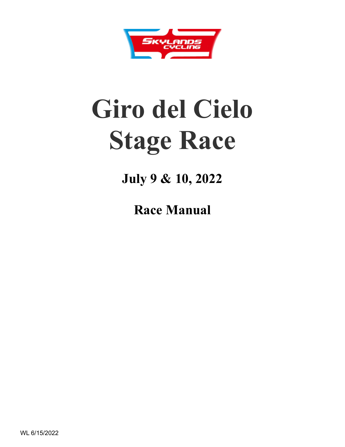

# **Giro del Cielo Stage Race**

**July 9 & 10, 2022**

**Race Manual**

WL 6/15/2022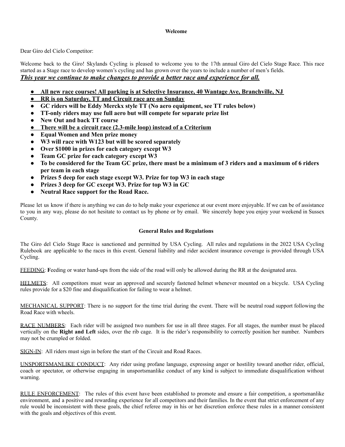# **Welcome**

Dear Giro del Cielo Competitor:

Welcome back to the Giro! Skylands Cycling is pleased to welcome you to the 17th annual Giro del Cielo Stage Race. This race started as a Stage race to develop women's cycling and has grown over the years to include a number of men's fields. *This year we continue to make changes to provide a better race and experience for all.*

- **● All new race courses! All parking is at Selective Insurance, 40 Wantage Ave, Branchville, NJ**
- **● RR is on Saturday, TT and Circuit race are on Sunday**
- **● GC riders will be Eddy Merckx style TT (No aero equipment, see TT rules below)**
- **● TT-only riders may use full aero but will compete for separate prize list**
- **● New Out and back TT course**
- **● There will be a circuit race (2.3-mile loop) instead of a Criterium**
- **● Equal Women and Men prize money**
- **● W3 will race with W123 but will be scored separately**
- **● Over \$1000 in prizes for each category except W3**
- **● Team GC prize for each category except W3**
- To be considered for the Team GC prize, there must be a minimum of 3 riders and a maximum of 6 riders **per team in each stage**
- **● Prizes 5 deep for each stage except W3. Prize for top W3 in each stage**
- **● Prizes 3 deep for GC except W3. Prize for top W3 in GC**
- **● Neutral Race support for the Road Race.**

Please let us know if there is anything we can do to help make your experience at our event more enjoyable. If we can be of assistance to you in any way, please do not hesitate to contact us by phone or by email. We sincerely hope you enjoy your weekend in Sussex County.

# **General Rules and Regulations**

The Giro del Cielo Stage Race is sanctioned and permitted by USA Cycling. All rules and regulations in the 2022 USA Cycling Rulebook are applicable to the races in this event. General liability and rider accident insurance coverage is provided through USA Cycling.

FEEDING: **F**eeding or water hand-ups from the side of the road will only be allowed during the RR at the designated area.

HELMETS: All competitors must wear an approved and securely fastened helmet whenever mounted on a bicycle. USA Cycling rules provide for a \$20 fine and disqualification for failing to wear a helmet.

MECHANICAL SUPPORT: There is no support for the time trial during the event. There will be neutral road support following the Road Race with wheels.

RACE NUMBERS: Each rider will be assigned two numbers for use in all three stages. For all stages, the number must be placed vertically on the **Right and Left** sides, over the rib cage. It is the rider's responsibility to correctly position her number. Numbers may not be crumpled or folded.

SIGN-IN: All riders must sign in before the start of the Circuit and Road Races.

UNSPORTSMANLIKE CONDUCT: Any rider using profane language, expressing anger or hostility toward another rider, official, coach or spectator, or otherwise engaging in unsportsmanlike conduct of any kind is subject to immediate disqualification without warning.

RULE ENFORCEMENT: The rules of this event have been established to promote and ensure a fair competition, a sportsmanlike environment, and a positive and rewarding experience for all competitors and their families. In the event that strict enforcement of any rule would be inconsistent with these goals, the chief referee may in his or her discretion enforce these rules in a manner consistent with the goals and objectives of this event.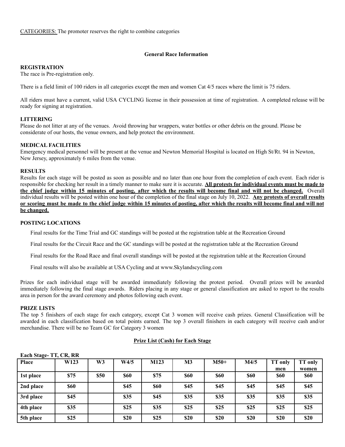# **General Race Information**

# **REGISTRATION**

The race is Pre-registration only.

There is a field limit of 100 riders in all categories except the men and women Cat 4/5 races where the limit is 75 riders.

All riders must have a current, valid USA CYCLING license in their possession at time of registration. A completed release will be ready for signing at registration.

#### **LITTERING**

Please do not litter at any of the venues. Avoid throwing bar wrappers, water bottles or other debris on the ground. Please be considerate of our hosts, the venue owners, and help protect the environment.

#### **MEDICAL FACILITIES**

Emergency medical personnel will be present at the venue and Newton Memorial Hospital is located on High St/Rt. 94 in Newton, New Jersey, approximately 6 miles from the venue.

#### **RESULTS**

Results for each stage will be posted as soon as possible and no later than one hour from the completion of each event. Each rider is responsible for checking her result in a timely manner to make sure it is accurate. **All protests for individual events must be made to** the chief judge within 15 minutes of posting, after which the results will become final and will not be changed. Overall individual results will be posted within one hour of the completion of the final stage on July 10, 2022. **Any protests of overall results** or scoring must be made to the chief judge within 15 minutes of posting, after which the results will become final and will not **be changed.**

#### **POSTING LOCATIONS**

Final results for the Time Trial and GC standings will be posted at the registration table at the Recreation Ground

Final results for the Circuit Race and the GC standings will be posted at the registration table at the Recreation Ground

Final results for the Road Race and final overall standings will be posted at the registration table at the Recreation Ground

Final results will also be available at USA Cycling and at www.Skylandscycling.com

Prizes for each individual stage will be awarded immediately following the protest period. Overall prizes will be awarded immediately following the final stage awards. Riders placing in any stage or general classification are asked to report to the results area in person for the award ceremony and photos following each event.

#### **PRIZE LISTS**

The top 5 finishers of each stage for each category, except Cat 3 women will receive cash prizes. General Classification will be awarded in each classification based on total points earned. The top 3 overall finishers in each category will receive cash and/or merchandise. There will be no Team GC for Category 3 women

#### **Prize List (Cash) for Each Stage**

| <b>Place</b> | W123 | W <sub>3</sub> | W4/5 | M123 | $\mathbf{M}3$ | $M50+$ | M4/5 | <b>TT</b> only | <b>TT</b> only |
|--------------|------|----------------|------|------|---------------|--------|------|----------------|----------------|
|              |      |                |      |      |               |        |      | men            | women          |
| 1st place    | \$75 | \$50           | \$60 | \$75 | \$60          | \$60   | \$60 | <b>\$60</b>    | \$60           |
| 2nd place    | \$60 |                | \$45 | \$60 | \$45          | \$45   | \$45 | \$45           | \$45           |
| 3rd place    | \$45 |                | \$35 | \$45 | \$35          | \$35   | \$35 | \$35           | \$35           |
| 4th place    | \$35 |                | \$25 | \$35 | \$25          | \$25   | \$25 | \$25           | \$25           |
| 5th place    | \$25 |                | \$20 | \$25 | \$20          | \$20   | \$20 | \$20           | \$20           |

#### **Each Stage- TT, CR, RR**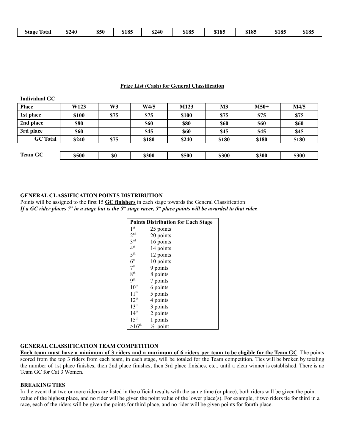| -<br>Tota!<br>stage | \$240<br>the contract of the contract of the contract of | \$50 | \$185 | $\triangle$<br>\$240 | \$185 | \$185 | \$185 | \$185 | \$185 |
|---------------------|----------------------------------------------------------|------|-------|----------------------|-------|-------|-------|-------|-------|
|---------------------|----------------------------------------------------------|------|-------|----------------------|-------|-------|-------|-------|-------|

#### **Prize List (Cash) for General Classification**

| Individual GC   |              |      |             |             |           |              |             |
|-----------------|--------------|------|-------------|-------------|-----------|--------------|-------------|
| <b>Place</b>    | W123         | W3   | W4/5        | M123        | <b>M3</b> | $M50+$       | M4/5        |
| 1st place       | <b>\$100</b> | \$75 | \$75        | \$100       | \$75      | \$75         | \$75        |
| 2nd place       | \$80         |      | <b>\$60</b> | <b>\$80</b> | \$60      | \$60         | <b>\$60</b> |
| 3rd place       | \$60         |      | \$45        | \$60        | \$45      | <b>\$45</b>  | \$45        |
| <b>GC</b> Total | \$240        | \$75 | \$180       | \$240       | \$180     | \$180        | \$180       |
|                 |              |      |             |             |           |              |             |
| <b>Team GC</b>  | \$500        | \$0  | \$300       | \$500       | \$300     | <b>\$300</b> | \$300       |

# **GENERAL CLASSIFICATION POINTS DISTRIBUTION**

Points will be assigned to the first 15 **GC finishers** in each stage towards the General Classification: If a GC rider places  $7<sup>m</sup>$  in a stage but is the  $5<sup>m</sup>$  stage racer,  $5<sup>m</sup>$  place points will be awarded to that rider.

|                  | <b>Points Distribution for Each Stage</b> |
|------------------|-------------------------------------------|
| 1 <sup>st</sup>  | 25 points                                 |
| 2 <sup>nd</sup>  | 20 points                                 |
| 3 <sup>rd</sup>  | 16 points                                 |
| 4 <sup>th</sup>  | 14 points                                 |
| 5 <sup>th</sup>  | 12 points                                 |
| 6 <sup>th</sup>  | 10 points                                 |
| 7 <sup>th</sup>  | 9 points                                  |
| 8 <sup>th</sup>  | 8 points                                  |
| Q <sup>th</sup>  | 7 points                                  |
| 10 <sup>th</sup> | 6 points                                  |
| 11 <sup>th</sup> | 5 points                                  |
| $12^{th}$        | 4 points                                  |
| 13 <sup>th</sup> | 3 points                                  |
| 14 <sup>th</sup> | 2 points                                  |
| 15 <sup>th</sup> | 1 points                                  |
| $>16^{th}$       | $\frac{1}{2}$ point                       |

# **GENERAL CLASSIFICATION TEAM COMPETITION**

Each team must have a minimum of 3 riders and a maximum of 6 riders per team to be eligible for the Team GC. The points scored from the top 3 riders from each team, in each stage, will be totaled for the Team competition. Ties will be broken by totaling the number of 1st place finishes, then 2nd place finishes, then 3rd place finishes, etc., until a clear winner is established. There is no Team GC for Cat 3 Women.

# **BREAKING TIES**

In the event that two or more riders are listed in the official results with the same time (or place), both riders will be given the point value of the highest place, and no rider will be given the point value of the lower place(s). For example, if two riders tie for third in a race, each of the riders will be given the points for third place, and no rider will be given points for fourth place.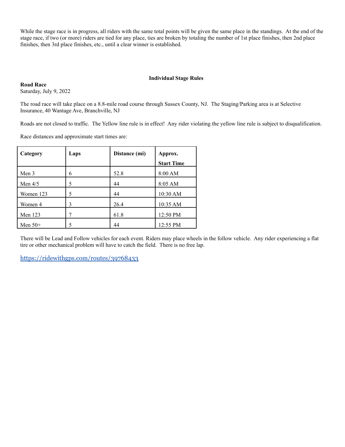While the stage race is in progress, all riders with the same total points will be given the same place in the standings. At the end of the stage race, if two (or more) riders are tied for any place, ties are broken by totaling the number of 1st place finishes, then 2nd place finishes, then 3rd place finishes, etc., until a clear winner is established.

#### **Individual Stage Rules**

**Road Race** Saturday, July 9, 2022

The road race will take place on a 8.8-mile road course through Sussex County, NJ. The Staging/Parking area is at Selective Insurance, 40 Wantage Ave, Branchville, NJ

Roads are not closed to traffic. The Yellow line rule is in effect! Any rider violating the yellow line rule is subject to disqualification.

Race distances and approximate start times are:

| Category             | Laps | Distance (mi) | Approx.<br><b>Start Time</b> |  |
|----------------------|------|---------------|------------------------------|--|
| Men 3                | 6    | 52.8          | 8:00 AM                      |  |
| Men $4/5$            | 5    | 44            | 8:05 AM                      |  |
| Women 123            | 5    | 44            | 10:30 AM                     |  |
| Women 4              | 3    | 26.4          | 10:35 AM                     |  |
| Men 123              |      | 61.8          | 12:50 PM                     |  |
| $\mathsf{Men}\,50^+$ | 5    | 44            | 12:55 PM                     |  |

There will be Lead and Follow vehicles for each event. Riders may place wheels in the follow vehicle. Any rider experiencing a flat tire or other mechanical problem will have to catch the field. There is no free lap.

<https://ridewithgps.com/routes/39768433>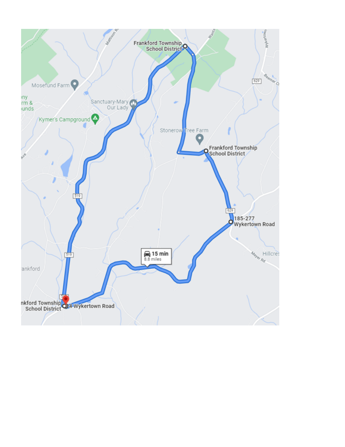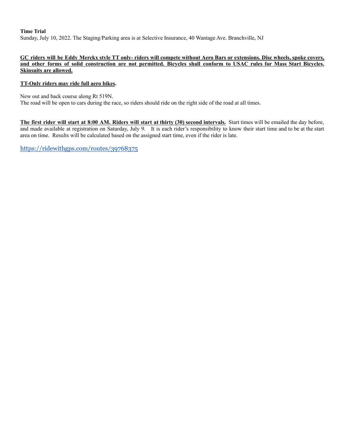# **Time Trial**

Sunday, July 10, 2022. The Staging/Parking area is at Selective Insurance, 40 Wantage Ave. Branchville, NJ

# GC riders will be Eddy Merckx style TT only- riders will compete without Aero Bars or extensions. Disc wheels, spoke covers, and other forms of solid construction are not permitted. Bicycles shall conform to USAC rules for Mass Start Bicycles. **Skinsuits are allowed.**

# **TT-Only riders may ride full aero bikes.**

New out and back course along Rt 519N.

The road will be open to cars during the race, so riders should ride on the right side of the road at all times.

The first rider will start at 8:00 AM. Riders will start at thirty (30) second intervals. Start times will be emailed the day before, and made available at registration on Saturday, July 9. It is each rider's responsibility to know their start time and to be at the start area on time. Results will be calculated based on the assigned start time, even if the rider is late.

<https://ridewithgps.com/routes/39768375>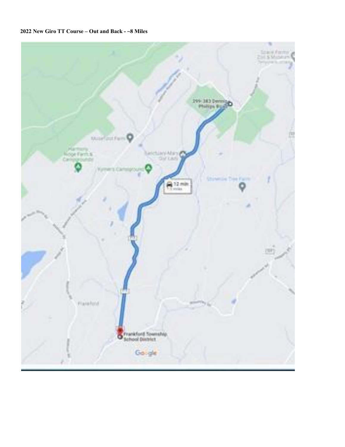# **New Giro TT Course – Out and Back - ~8 Miles**

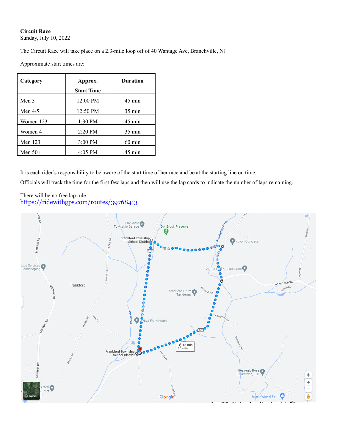# **Circuit Race**

Sunday, July 10, 2022

The Circuit Race will take place on a 2.3-mile loop off of 40 Wantage Ave, Branchville, NJ

Approximate start times are:

| Category  | Approx.           | <b>Duration</b>  |  |
|-----------|-------------------|------------------|--|
|           | <b>Start Time</b> |                  |  |
| Men 3     | 12:00 PM          | $45 \text{ min}$ |  |
| Men $4/5$ | 12:50 PM          | $35 \text{ min}$ |  |
| Women 123 | 1:30 PM           | $45 \text{ min}$ |  |
| Women 4   | 2:20 PM           | $35 \text{ min}$ |  |
| Men 123   | $3:00$ PM         | $60 \text{ min}$ |  |
| Men $50+$ | $4:05$ PM         | $45 \text{ min}$ |  |

It is each rider's responsibility to be aware of the start time of her race and be at the starting line on time.

Officials will track the time for the first few laps and then will use the lap cards to indicate the number of laps remaining.

# There will be no free lap rule. <https://ridewithgps.com/routes/39768413>